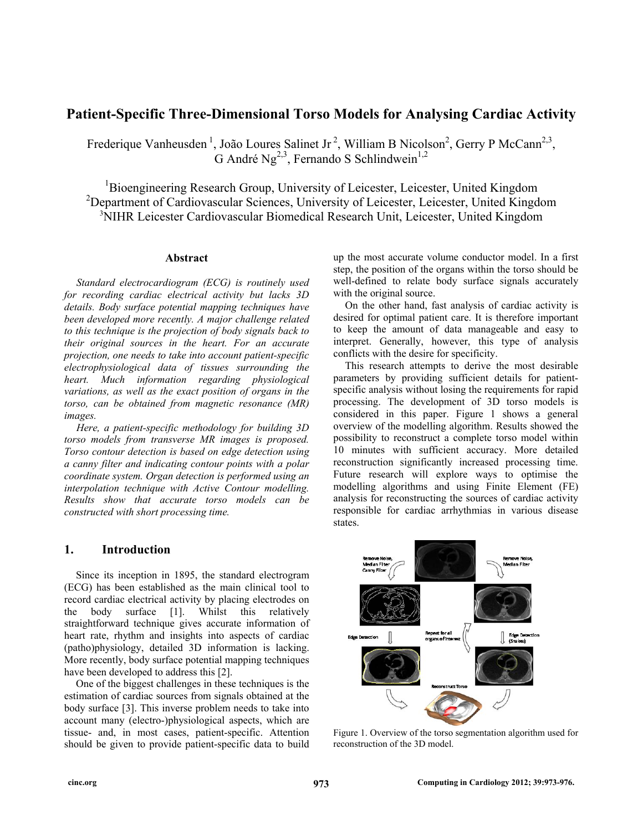# **Patient-Specific Three-Dimensional Torso Models for Analysing Cardiac Activity**

Frederique Vanheusden<sup>1</sup>, João Loures Salinet Jr<sup>2</sup>, William B Nicolson<sup>2</sup>, Gerry P McCann<sup>2,3</sup>, G André Ng<sup>2,3</sup>, Fernando S Schlindwein<sup>1,2</sup>

<sup>1</sup>Bioengineering Research Group, University of Leicester, Leicester, United Kingdom <sup>2</sup>Department of Cardiovascular Sciences, University of Leicester, Leicester, United Kingdom 3 NIHR Leicester Cardiovascular Biomedical Research Unit, Leicester, United Kingdom

#### **Abstract**

*Standard electrocardiogram (ECG) is routinely used for recording cardiac electrical activity but lacks 3D details. Body surface potential mapping techniques have been developed more recently. A major challenge related to this technique is the projection of body signals back to their original sources in the heart. For an accurate projection, one needs to take into account patient-specific electrophysiological data of tissues surrounding the heart. Much information regarding physiological variations, as well as the exact position of organs in the torso, can be obtained from magnetic resonance (MR) images.* 

*Here, a patient-specific methodology for building 3D torso models from transverse MR images is proposed. Torso contour detection is based on edge detection using a canny filter and indicating contour points with a polar coordinate system. Organ detection is performed using an interpolation technique with Active Contour modelling. Results show that accurate torso models can be constructed with short processing time.* 

# **1. Introduction**

Since its inception in 1895, the standard electrogram (ECG) has been established as the main clinical tool to record cardiac electrical activity by placing electrodes on the body surface [1]. Whilst this relatively straightforward technique gives accurate information of heart rate, rhythm and insights into aspects of cardiac (patho)physiology, detailed 3D information is lacking. More recently, body surface potential mapping techniques have been developed to address this [2].

One of the biggest challenges in these techniques is the estimation of cardiac sources from signals obtained at the body surface [3]. This inverse problem needs to take into account many (electro-)physiological aspects, which are tissue- and, in most cases, patient-specific. Attention should be given to provide patient-specific data to build

up the most accurate volume conductor model. In a first step, the position of the organs within the torso should be well-defined to relate body surface signals accurately with the original source.

On the other hand, fast analysis of cardiac activity is desired for optimal patient care. It is therefore important to keep the amount of data manageable and easy to interpret. Generally, however, this type of analysis conflicts with the desire for specificity.

This research attempts to derive the most desirable parameters by providing sufficient details for patientspecific analysis without losing the requirements for rapid processing. The development of 3D torso models is considered in this paper. Figure 1 shows a general overview of the modelling algorithm. Results showed the possibility to reconstruct a complete torso model within 10 minutes with sufficient accuracy. More detailed reconstruction significantly increased processing time. Future research will explore ways to optimise the modelling algorithms and using Finite Element (FE) analysis for reconstructing the sources of cardiac activity responsible for cardiac arrhythmias in various disease states.



Figure 1. Overview of the torso segmentation algorithm used for reconstruction of the 3D model.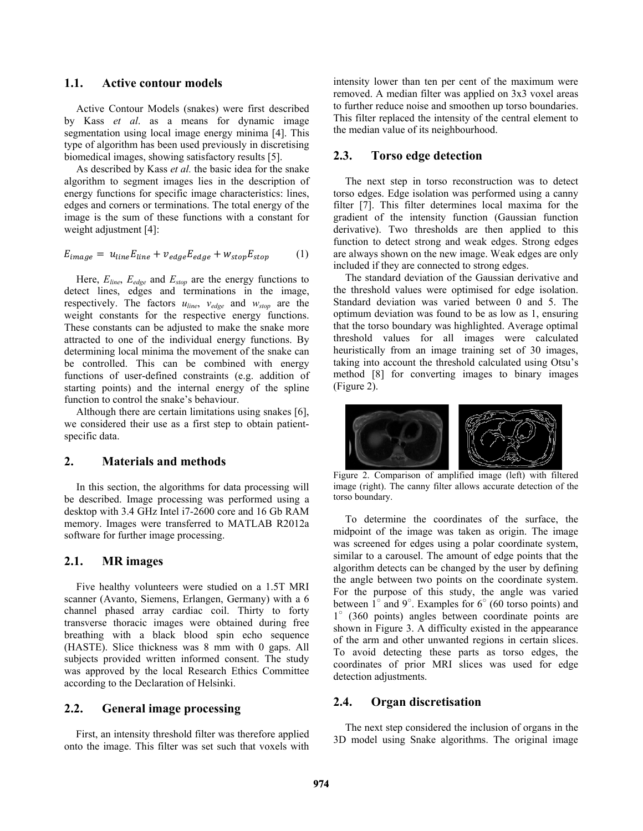### **1.1. Active contour models**

Active Contour Models (snakes) were first described by Kass *et al*. as a means for dynamic image segmentation using local image energy minima [4]. This type of algorithm has been used previously in discretising biomedical images, showing satisfactory results [5].

As described by Kass *et al.* the basic idea for the snake algorithm to segment images lies in the description of energy functions for specific image characteristics: lines, edges and corners or terminations. The total energy of the image is the sum of these functions with a constant for weight adjustment [4]:

$$
E_{image} = u_{line} E_{line} + v_{edge} E_{edge} + w_{stop} E_{stop}
$$
 (1)

Here, *Eline*, *Eedge* and *Estop* are the energy functions to detect lines, edges and terminations in the image, respectively. The factors *uline*, *vedge* and *wstop* are the weight constants for the respective energy functions. These constants can be adjusted to make the snake more attracted to one of the individual energy functions. By determining local minima the movement of the snake can be controlled. This can be combined with energy functions of user-defined constraints (e.g. addition of starting points) and the internal energy of the spline function to control the snake's behaviour.

Although there are certain limitations using snakes [6], we considered their use as a first step to obtain patientspecific data.

# **2. Materials and methods**

In this section, the algorithms for data processing will be described. Image processing was performed using a desktop with 3.4 GHz Intel i7-2600 core and 16 Gb RAM memory. Images were transferred to MATLAB R2012a software for further image processing.

# **2.1. MR images**

Five healthy volunteers were studied on a 1.5T MRI scanner (Avanto, Siemens, Erlangen, Germany) with a 6 channel phased array cardiac coil. Thirty to forty transverse thoracic images were obtained during free breathing with a black blood spin echo sequence (HASTE). Slice thickness was 8 mm with 0 gaps. All subjects provided written informed consent. The study was approved by the local Research Ethics Committee according to the Declaration of Helsinki.

# **2.2. General image processing**

First, an intensity threshold filter was therefore applied onto the image. This filter was set such that voxels with

intensity lower than ten per cent of the maximum were removed. A median filter was applied on 3x3 voxel areas to further reduce noise and smoothen up torso boundaries. This filter replaced the intensity of the central element to the median value of its neighbourhood.

# **2.3. Torso edge detection**

The next step in torso reconstruction was to detect torso edges. Edge isolation was performed using a canny filter [7]. This filter determines local maxima for the gradient of the intensity function (Gaussian function derivative). Two thresholds are then applied to this function to detect strong and weak edges. Strong edges are always shown on the new image. Weak edges are only included if they are connected to strong edges.

The standard deviation of the Gaussian derivative and the threshold values were optimised for edge isolation. Standard deviation was varied between 0 and 5. The optimum deviation was found to be as low as 1, ensuring that the torso boundary was highlighted. Average optimal threshold values for all images were calculated heuristically from an image training set of 30 images, taking into account the threshold calculated using Otsu's method [8] for converting images to binary images (Figure 2).



Figure 2. Comparison of amplified image (left) with filtered image (right). The canny filter allows accurate detection of the torso boundary.

To determine the coordinates of the surface, the midpoint of the image was taken as origin. The image was screened for edges using a polar coordinate system, similar to a carousel. The amount of edge points that the algorithm detects can be changed by the user by defining the angle between two points on the coordinate system. For the purpose of this study, the angle was varied between  $1^{\circ}$  and  $9^{\circ}$ . Examples for  $6^{\circ}$  (60 torso points) and 1° (360 points) angles between coordinate points are shown in Figure 3. A difficulty existed in the appearance of the arm and other unwanted regions in certain slices. To avoid detecting these parts as torso edges, the coordinates of prior MRI slices was used for edge detection adjustments.

#### **2.4. Organ discretisation**

The next step considered the inclusion of organs in the 3D model using Snake algorithms. The original image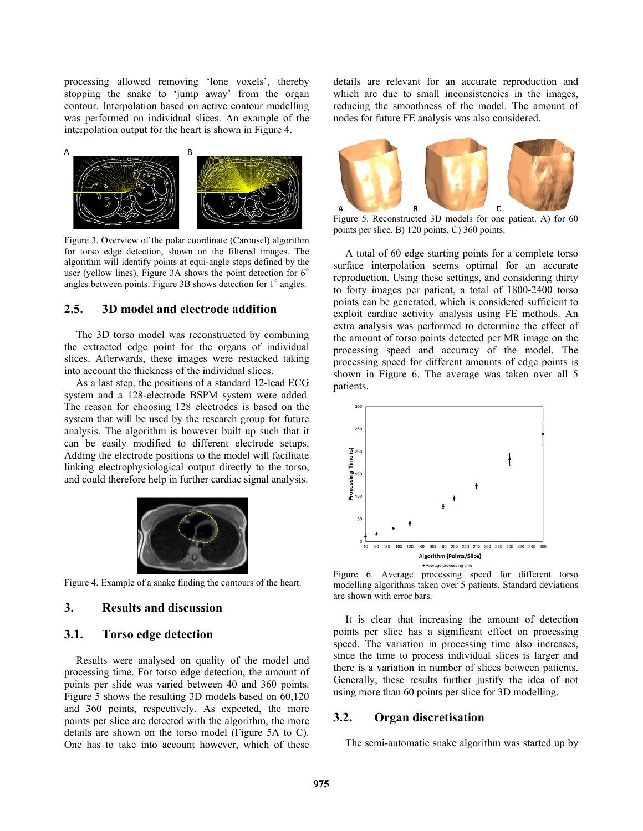processing allowed removing 'lone voxels', thereby stopping the snake to 'jump away' from the organ contour. Interpolation based on active contour modelling was performed on individual slices. An example of the interpolation output for the heart is shown in Figure 4.



Figure 3. Overview of the polar coordinate (Carousel) algorithm for torso edge detection, shown on the filtered images. The algorithm will identify points at equi-angle steps defined by the user (yellow lines). Figure 3A shows the point detection for  $6^\circ$ angles between points. Figure 3B shows detection for  $1^\circ$  angles.

# **2.5. 3D model and electrode addition**

The 3D torso model was reconstructed by combining the extracted edge point for the organs of individual slices. Afterwards, these images were restacked taking into account the thickness of the individual slices.

As a last step, the positions of a standard 12-lead ECG system and a 128-electrode BSPM system were added. The reason for choosing 128 electrodes is based on the system that will be used by the research group for future analysis. The algorithm is however built up such that it can be easily modified to different electrode setups. Adding the electrode positions to the model will facilitate linking electrophysiological output directly to the torso, and could therefore help in further cardiac signal analysis.



Figure 4. Example of a snake finding the contours of the heart.

# **3. Results and discussion**

### **3.1. Torso edge detection**

Results were analysed on quality of the model and processing time. For torso edge detection, the amount of points per slide was varied between 40 and 360 points. Figure 5 shows the resulting 3D models based on 60,120 and 360 points, respectively. As expected, the more points per slice are detected with the algorithm, the more details are shown on the torso model (Figure 5A to C). One has to take into account however, which of these

details are relevant for an accurate reproduction and which are due to small inconsistencies in the images, reducing the smoothness of the model. The amount of nodes for future FE analysis was also considered.



Figure 5. Reconstructed 3D models for one patient. A) for 60 points per slice. B) 120 points. C) 360 points.

A total of 60 edge starting points for a complete torso surface interpolation seems optimal for an accurate reproduction. Using these settings, and considering thirty to forty images per patient, a total of 1800-2400 torso points can be generated, which is considered sufficient to exploit cardiac activity analysis using FE methods. An extra analysis was performed to determine the effect of the amount of torso points detected per MR image on the processing speed and accuracy of the model. The processing speed for different amounts of edge points is shown in Figure 6. The average was taken over all 5 patients.



Figure 6. Average processing speed for different torso modelling algorithms taken over 5 patients. Standard deviations are shown with error bars.

It is clear that increasing the amount of detection points per slice has a significant effect on processing speed. The variation in processing time also increases, since the time to process individual slices is larger and there is a variation in number of slices between patients. Generally, these results further justify the idea of not using more than 60 points per slice for 3D modelling.

#### **3.2. Organ discretisation**

The semi-automatic snake algorithm was started up by